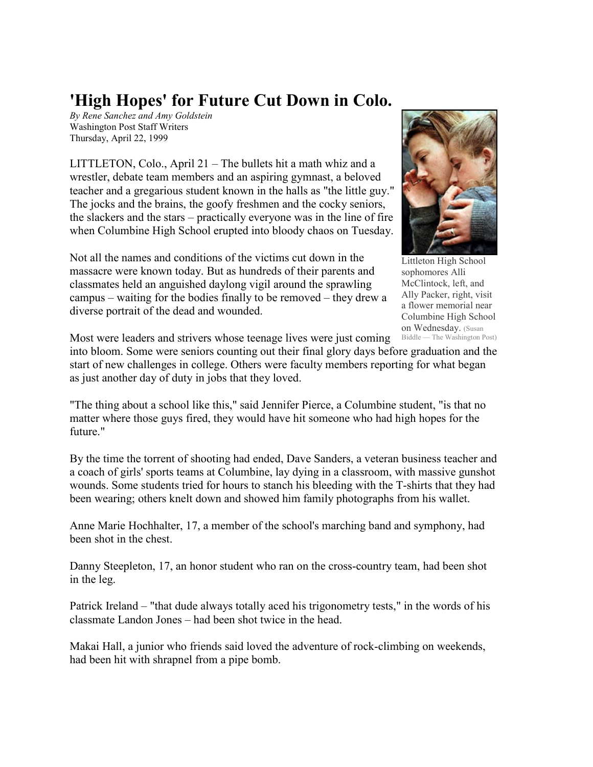## **'High Hopes' for Future Cut Down in Colo.**

*By Rene Sanchez and Amy Goldstein* Washington Post Staff Writers Thursday, April 22, 1999

LITTLETON, Colo., April 21 – The bullets hit a math whiz and a wrestler, debate team members and an aspiring gymnast, a beloved teacher and a gregarious student known in the halls as "the little guy." The jocks and the brains, the goofy freshmen and the cocky seniors, the slackers and the stars – practically everyone was in the line of fire when Columbine High School erupted into bloody chaos on Tuesday.

Not all the names and conditions of the victims cut down in the massacre were known today. But as hundreds of their parents and classmates held an anguished daylong vigil around the sprawling campus – waiting for the bodies finally to be removed – they drew a diverse portrait of the dead and wounded.



Littleton High School sophomores Alli McClintock, left, and Ally Packer, right, visit a flower memorial near Columbine High School on Wednesday. (Susan Biddle — The Washington Post)

Most were leaders and strivers whose teenage lives were just coming

into bloom. Some were seniors counting out their final glory days before graduation and the start of new challenges in college. Others were faculty members reporting for what began as just another day of duty in jobs that they loved.

"The thing about a school like this," said Jennifer Pierce, a Columbine student, "is that no matter where those guys fired, they would have hit someone who had high hopes for the future."

By the time the torrent of shooting had ended, Dave Sanders, a veteran business teacher and a coach of girls' sports teams at Columbine, lay dying in a classroom, with massive gunshot wounds. Some students tried for hours to stanch his bleeding with the T-shirts that they had been wearing; others knelt down and showed him family photographs from his wallet.

Anne Marie Hochhalter, 17, a member of the school's marching band and symphony, had been shot in the chest.

Danny Steepleton, 17, an honor student who ran on the cross-country team, had been shot in the leg.

Patrick Ireland – "that dude always totally aced his trigonometry tests," in the words of his classmate Landon Jones – had been shot twice in the head.

Makai Hall, a junior who friends said loved the adventure of rock-climbing on weekends, had been hit with shrapnel from a pipe bomb.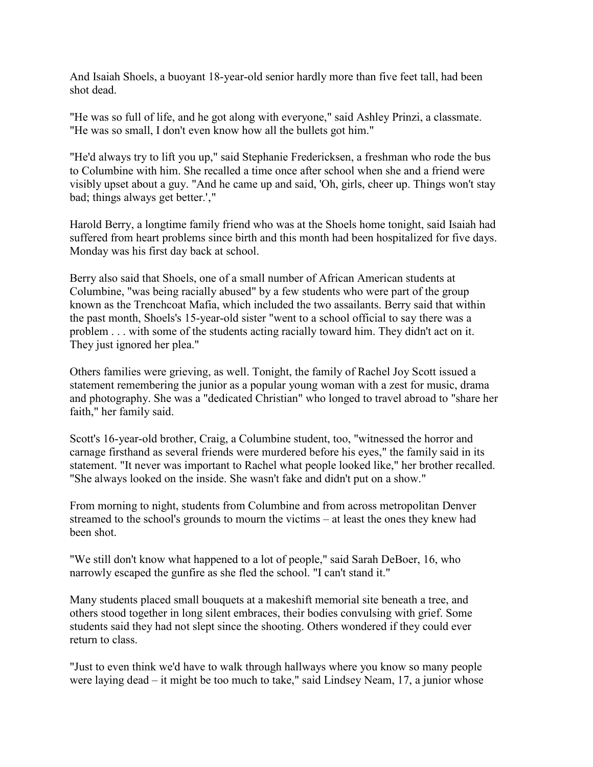And Isaiah Shoels, a buoyant 18-year-old senior hardly more than five feet tall, had been shot dead.

"He was so full of life, and he got along with everyone," said Ashley Prinzi, a classmate. "He was so small, I don't even know how all the bullets got him."

"He'd always try to lift you up," said Stephanie Fredericksen, a freshman who rode the bus to Columbine with him. She recalled a time once after school when she and a friend were visibly upset about a guy. "And he came up and said, 'Oh, girls, cheer up. Things won't stay bad; things always get better.',"

Harold Berry, a longtime family friend who was at the Shoels home tonight, said Isaiah had suffered from heart problems since birth and this month had been hospitalized for five days. Monday was his first day back at school.

Berry also said that Shoels, one of a small number of African American students at Columbine, "was being racially abused" by a few students who were part of the group known as the Trenchcoat Mafia, which included the two assailants. Berry said that within the past month, Shoels's 15-year-old sister "went to a school official to say there was a problem . . . with some of the students acting racially toward him. They didn't act on it. They just ignored her plea."

Others families were grieving, as well. Tonight, the family of Rachel Joy Scott issued a statement remembering the junior as a popular young woman with a zest for music, drama and photography. She was a "dedicated Christian" who longed to travel abroad to "share her faith," her family said.

Scott's 16-year-old brother, Craig, a Columbine student, too, "witnessed the horror and carnage firsthand as several friends were murdered before his eyes," the family said in its statement. "It never was important to Rachel what people looked like," her brother recalled. "She always looked on the inside. She wasn't fake and didn't put on a show."

From morning to night, students from Columbine and from across metropolitan Denver streamed to the school's grounds to mourn the victims – at least the ones they knew had been shot.

"We still don't know what happened to a lot of people," said Sarah DeBoer, 16, who narrowly escaped the gunfire as she fled the school. "I can't stand it."

Many students placed small bouquets at a makeshift memorial site beneath a tree, and others stood together in long silent embraces, their bodies convulsing with grief. Some students said they had not slept since the shooting. Others wondered if they could ever return to class.

"Just to even think we'd have to walk through hallways where you know so many people were laying dead – it might be too much to take," said Lindsey Neam, 17, a junior whose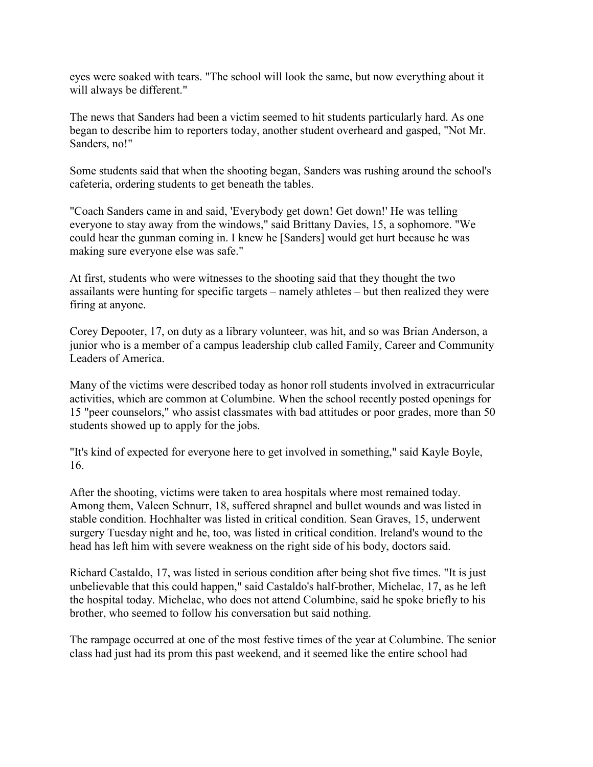eyes were soaked with tears. "The school will look the same, but now everything about it will always be different."

The news that Sanders had been a victim seemed to hit students particularly hard. As one began to describe him to reporters today, another student overheard and gasped, "Not Mr. Sanders, no!"

Some students said that when the shooting began, Sanders was rushing around the school's cafeteria, ordering students to get beneath the tables.

"Coach Sanders came in and said, 'Everybody get down! Get down!' He was telling everyone to stay away from the windows," said Brittany Davies, 15, a sophomore. "We could hear the gunman coming in. I knew he [Sanders] would get hurt because he was making sure everyone else was safe."

At first, students who were witnesses to the shooting said that they thought the two assailants were hunting for specific targets – namely athletes – but then realized they were firing at anyone.

Corey Depooter, 17, on duty as a library volunteer, was hit, and so was Brian Anderson, a junior who is a member of a campus leadership club called Family, Career and Community Leaders of America.

Many of the victims were described today as honor roll students involved in extracurricular activities, which are common at Columbine. When the school recently posted openings for 15 "peer counselors," who assist classmates with bad attitudes or poor grades, more than 50 students showed up to apply for the jobs.

"It's kind of expected for everyone here to get involved in something," said Kayle Boyle, 16.

After the shooting, victims were taken to area hospitals where most remained today. Among them, Valeen Schnurr, 18, suffered shrapnel and bullet wounds and was listed in stable condition. Hochhalter was listed in critical condition. Sean Graves, 15, underwent surgery Tuesday night and he, too, was listed in critical condition. Ireland's wound to the head has left him with severe weakness on the right side of his body, doctors said.

Richard Castaldo, 17, was listed in serious condition after being shot five times. "It is just unbelievable that this could happen," said Castaldo's half-brother, Michelac, 17, as he left the hospital today. Michelac, who does not attend Columbine, said he spoke briefly to his brother, who seemed to follow his conversation but said nothing.

The rampage occurred at one of the most festive times of the year at Columbine. The senior class had just had its prom this past weekend, and it seemed like the entire school had